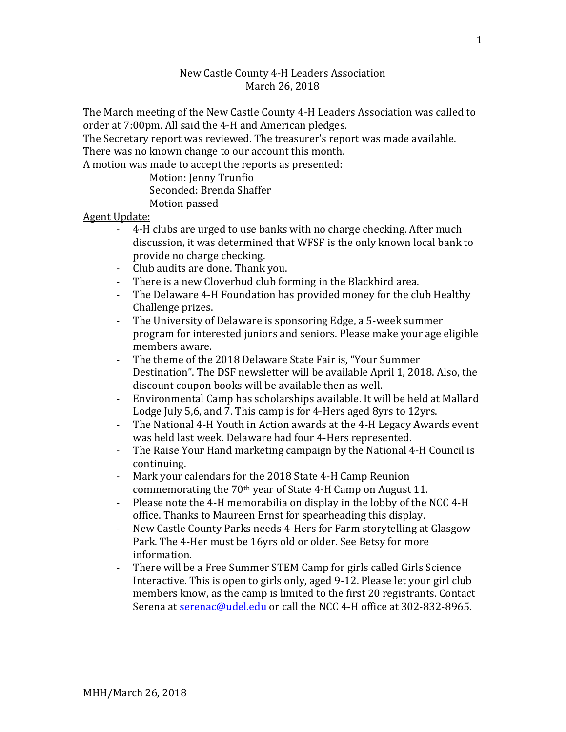## New Castle County 4-H Leaders Association March 26, 2018

The March meeting of the New Castle County 4-H Leaders Association was called to order at 7:00pm. All said the 4-H and American pledges.

The Secretary report was reviewed. The treasurer's report was made available. There was no known change to our account this month.

A motion was made to accept the reports as presented:

Motion: Jenny Trunfio Seconded: Brenda Shaffer Motion passed

Agent Update:

- 4-H clubs are urged to use banks with no charge checking. After much discussion, it was determined that WFSF is the only known local bank to provide no charge checking.
- Club audits are done. Thank you.
- There is a new Cloverbud club forming in the Blackbird area.
- The Delaware 4-H Foundation has provided money for the club Healthy Challenge prizes.
- The University of Delaware is sponsoring Edge, a 5-week summer program for interested juniors and seniors. Please make your age eligible members aware.
- The theme of the 2018 Delaware State Fair is, "Your Summer Destination". The DSF newsletter will be available April 1, 2018. Also, the discount coupon books will be available then as well.
- Environmental Camp has scholarships available. It will be held at Mallard Lodge July 5,6, and 7. This camp is for 4-Hers aged 8yrs to 12yrs.
- The National 4-H Youth in Action awards at the 4-H Legacy Awards event was held last week. Delaware had four 4-Hers represented.
- The Raise Your Hand marketing campaign by the National 4-H Council is continuing.
- Mark your calendars for the 2018 State 4-H Camp Reunion commemorating the 70th year of State 4-H Camp on August 11.
- Please note the 4-H memorabilia on display in the lobby of the NCC 4-H office. Thanks to Maureen Ernst for spearheading this display.
- New Castle County Parks needs 4-Hers for Farm storytelling at Glasgow Park. The 4-Her must be 16yrs old or older. See Betsy for more information.
- There will be a Free Summer STEM Camp for girls called Girls Science Interactive. This is open to girls only, aged 9-12. Please let your girl club members know, as the camp is limited to the first 20 registrants. Contact Serena at [serenac@udel.edu](mailto:serenac@udel.edu) or call the NCC 4-H office at 302-832-8965.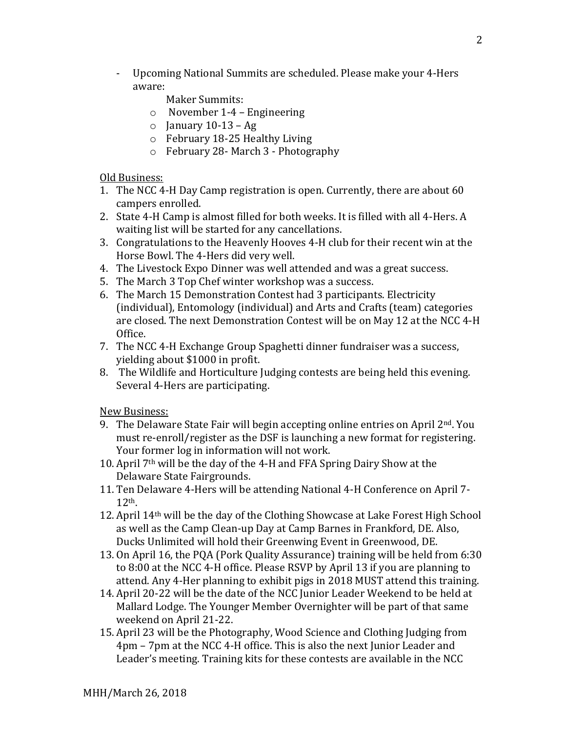- Upcoming National Summits are scheduled. Please make your 4-Hers aware:

Maker Summits:

- o November 1-4 Engineering
- $\circ$  January 10-13 Ag
- o February 18-25 Healthy Living
- o February 28- March 3 Photography

Old Business:

- 1. The NCC 4-H Day Camp registration is open. Currently, there are about 60 campers enrolled.
- 2. State 4-H Camp is almost filled for both weeks. It is filled with all 4-Hers. A waiting list will be started for any cancellations.
- 3. Congratulations to the Heavenly Hooves 4-H club for their recent win at the Horse Bowl. The 4-Hers did very well.
- 4. The Livestock Expo Dinner was well attended and was a great success.
- 5. The March 3 Top Chef winter workshop was a success.
- 6. The March 15 Demonstration Contest had 3 participants. Electricity (individual), Entomology (individual) and Arts and Crafts (team) categories are closed. The next Demonstration Contest will be on May 12 at the NCC 4-H Office.
- 7. The NCC 4-H Exchange Group Spaghetti dinner fundraiser was a success, yielding about \$1000 in profit.
- 8. The Wildlife and Horticulture Judging contests are being held this evening. Several 4-Hers are participating.

New Business:

- 9. The Delaware State Fair will begin accepting online entries on April  $2^{nd}$ . You must re-enroll/register as the DSF is launching a new format for registering. Your former log in information will not work.
- 10. April 7th will be the day of the 4-H and FFA Spring Dairy Show at the Delaware State Fairgrounds.
- 11. Ten Delaware 4-Hers will be attending National 4-H Conference on April 7- 12th.
- 12. April 14th will be the day of the Clothing Showcase at Lake Forest High School as well as the Camp Clean-up Day at Camp Barnes in Frankford, DE. Also, Ducks Unlimited will hold their Greenwing Event in Greenwood, DE.
- 13. On April 16, the PQA (Pork Quality Assurance) training will be held from 6:30 to 8:00 at the NCC 4-H office. Please RSVP by April 13 if you are planning to attend. Any 4-Her planning to exhibit pigs in 2018 MUST attend this training.
- 14. April 20-22 will be the date of the NCC Junior Leader Weekend to be held at Mallard Lodge. The Younger Member Overnighter will be part of that same weekend on April 21-22.
- 15. April 23 will be the Photography, Wood Science and Clothing Judging from 4pm – 7pm at the NCC 4-H office. This is also the next Junior Leader and Leader's meeting. Training kits for these contests are available in the NCC